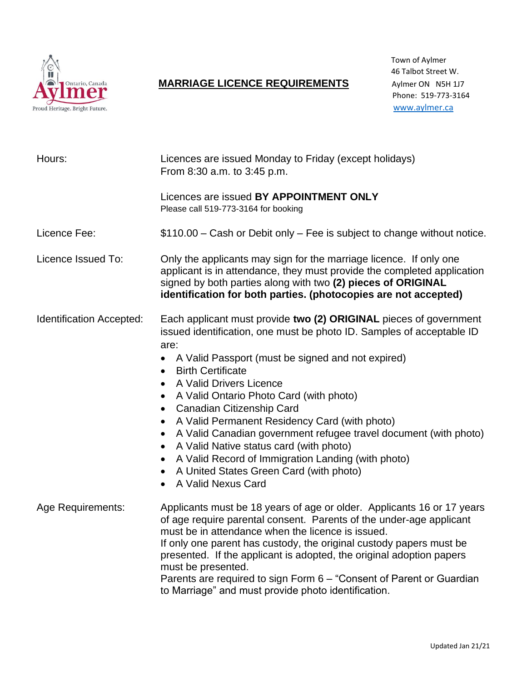

## **MARRIAGE LICENCE REQUIREMENTS** Aylmer ON N5H 1J7

| Hours:                          | Licences are issued Monday to Friday (except holidays)<br>From 8:30 a.m. to 3:45 p.m.                                                                                                                                                                                                                                                                                                                                                                                                                                                                                                                                                                                                                                                                                        |
|---------------------------------|------------------------------------------------------------------------------------------------------------------------------------------------------------------------------------------------------------------------------------------------------------------------------------------------------------------------------------------------------------------------------------------------------------------------------------------------------------------------------------------------------------------------------------------------------------------------------------------------------------------------------------------------------------------------------------------------------------------------------------------------------------------------------|
|                                 | Licences are issued BY APPOINTMENT ONLY<br>Please call 519-773-3164 for booking                                                                                                                                                                                                                                                                                                                                                                                                                                                                                                                                                                                                                                                                                              |
| Licence Fee:                    | \$110.00 - Cash or Debit only - Fee is subject to change without notice.                                                                                                                                                                                                                                                                                                                                                                                                                                                                                                                                                                                                                                                                                                     |
| Licence Issued To:              | Only the applicants may sign for the marriage licence. If only one<br>applicant is in attendance, they must provide the completed application<br>signed by both parties along with two (2) pieces of ORIGINAL<br>identification for both parties. (photocopies are not accepted)                                                                                                                                                                                                                                                                                                                                                                                                                                                                                             |
| <b>Identification Accepted:</b> | Each applicant must provide two (2) ORIGINAL pieces of government<br>issued identification, one must be photo ID. Samples of acceptable ID<br>are:<br>A Valid Passport (must be signed and not expired)<br>$\bullet$<br><b>Birth Certificate</b><br>$\bullet$<br>A Valid Drivers Licence<br>$\bullet$<br>A Valid Ontario Photo Card (with photo)<br>$\bullet$<br>Canadian Citizenship Card<br>$\bullet$<br>A Valid Permanent Residency Card (with photo)<br>$\bullet$<br>A Valid Canadian government refugee travel document (with photo)<br>$\bullet$<br>A Valid Native status card (with photo)<br>$\bullet$<br>A Valid Record of Immigration Landing (with photo)<br>$\bullet$<br>A United States Green Card (with photo)<br>$\bullet$<br>A Valid Nexus Card<br>$\bullet$ |
| <b>Age Requirements:</b>        | Applicants must be 18 years of age or older. Applicants 16 or 17 years<br>of age require parental consent. Parents of the under-age applicant<br>must be in attendance when the licence is issued.<br>If only one parent has custody, the original custody papers must be<br>presented. If the applicant is adopted, the original adoption papers<br>must be presented.<br>Parents are required to sign Form 6 - "Consent of Parent or Guardian<br>to Marriage" and must provide photo identification.                                                                                                                                                                                                                                                                       |